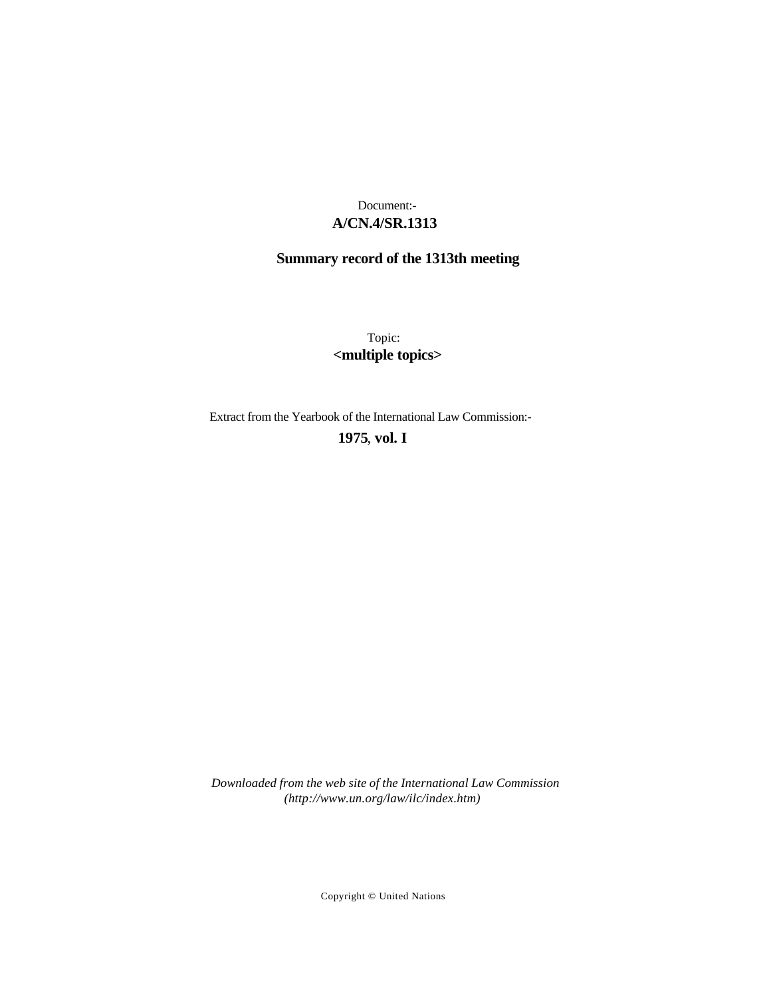# **A/CN.4/SR.1313** Document:-

# **Summary record of the 1313th meeting**

Topic: **<multiple topics>**

Extract from the Yearbook of the International Law Commission:-

## **1975** , **vol. I**

*Downloaded from the web site of the International Law Commission (http://www.un.org/law/ilc/index.htm)*

Copyright © United Nations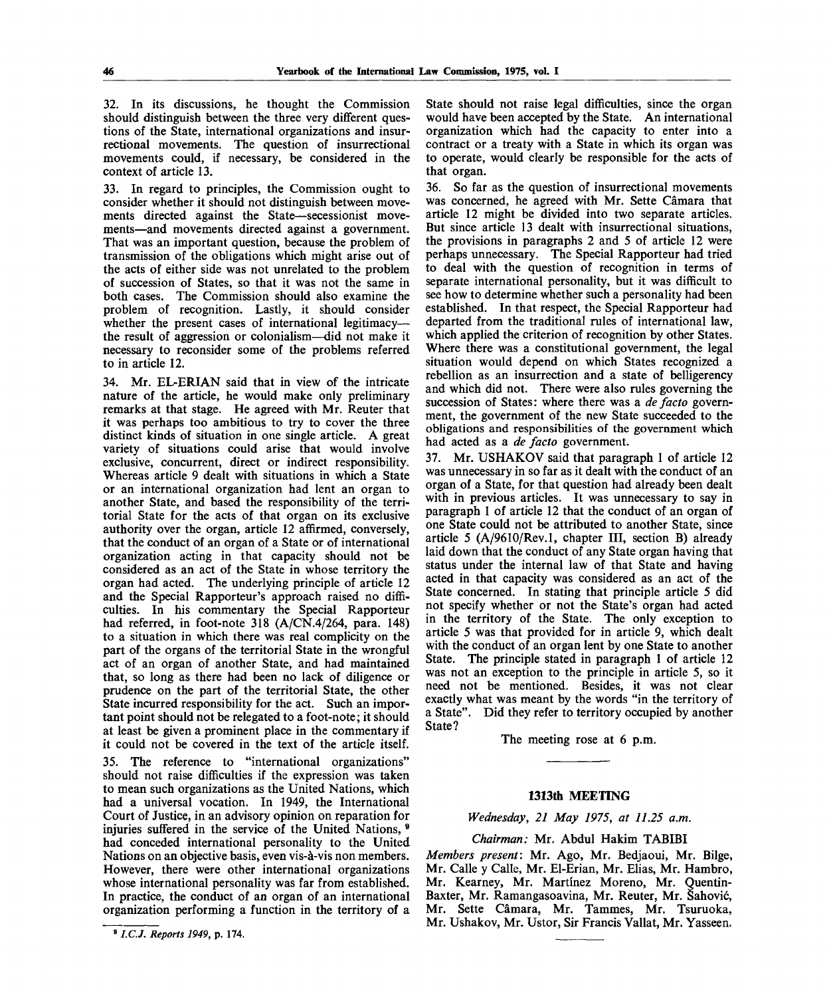32. In its discussions, he thought the Commission should distinguish between the three very different questions of the State, international organizations and insurrectional movements. The question of insurrectional movements could, if necessary, be considered in the context of article 13.

33. In regard to principles, the Commission ought to consider whether it should not distinguish between movements directed against the State—secessionist movements—and movements directed against a government. That was an important question, because the problem of transmission of the obligations which might arise out of the acts of either side was not unrelated to the problem of succession of States, so that it was not the same in both cases. The Commission should also examine the problem of recognition. Lastly, it should consider whether the present cases of international legitimacy the result of aggression or colonialism—did not make it necessary to reconsider some of the problems referred to in article 12.

34. Mr. EL-ERIAN said that in view of the intricate nature of the article, he would make only preliminary remarks at that stage. He agreed with Mr. Reuter that it was perhaps too ambitious to try to cover the three distinct kinds of situation in one single article. A great variety of situations could arise that would involve exclusive, concurrent, direct or indirect responsibility. Whereas article 9 dealt with situations in which a State or an international organization had lent an organ to another State, and based the responsibility of the territorial State for the acts of that organ on its exclusive authority over the organ, article 12 affirmed, conversely, that the conduct of an organ of a State or of international organization acting in that capacity should not be considered as an act of the State in whose territory the organ had acted. The underlying principle of article 12 and the Special Rapporteur's approach raised no difficulties. In his commentary the Special Rapporteur had referred, in foot-note 318 (A/CN.4/264, para. 148) to a situation in which there was real complicity on the part of the organs of the territorial State in the wrongful act of an organ of another State, and had maintained that, so long as there had been no lack of diligence or prudence on the part of the territorial State, the other State incurred responsibility for the act. Such an important point should not be relegated to a foot-note; it should at least be given a prominent place in the commentary if it could not be covered in the text of the article itself.

35. The reference to "international organizations" should not raise difficulties if the expression was taken to mean such organizations as the United Nations, which had a universal vocation. In 1949, the International Court of Justice, in an advisory opinion on reparation for injuries suffered in the service of the United Nations, <sup>6</sup> had conceded international personality to the United Nations on an objective basis, even vis-a-vis non members. However, there were other international organizations whose international personality was far from established. In practice, the conduct of an organ of an international organization performing a function in the territory of a State should not raise legal difficulties, since the organ would have been accepted by the State. An international organization which had the capacity to enter into a contract or a treaty with a State in which its organ was to operate, would clearly be responsible for the acts of that organ.

36. So far as the question of insurrectional movements was concerned, he agreed with Mr. Sette Camara that article 12 might be divided into two separate articles. But since article 13 dealt with insurrectional situations, the provisions in paragraphs 2 and 5 of article 12 were perhaps unnecessary. The Special Rapporteur had tried to deal with the question of recognition in terms of separate international personality, but it was difficult to see how to determine whether such a personality had been established. In that respect, the Special Rapporteur had departed from the traditional rules of international law, which applied the criterion of recognition by other States. Where there was a constitutional government, the legal situation would depend on which States recognized a rebellion as an insurrection and a state of belligerency and which did not. There were also rules governing the succession of States: where there was a *de facto* government, the government of the new State succeeded to the obligations and responsibilities of the government which had acted as a *de facto* government.

37. Mr. USHAKOV said that paragraph 1 of article 12 was unnecessary in so far as it dealt with the conduct of an organ of a State, for that question had already been dealt with in previous articles. It was unnecessary to say in paragraph 1 of article 12 that the conduct of an organ of one State could not be attributed to another State, since article 5 (A/9610/Rev.l, chapter III, section B) already laid down that the conduct of any State organ having that status under the internal law of that State and having acted in that capacity was considered as an act of the State concerned. In stating that principle article 5 did not specify whether or not the State's organ had acted in the territory of the State. The only exception to article 5 was that provided for in article 9, which dealt with the conduct of an organ lent by one State to another State. The principle stated in paragraph 1 of article 12 was not an exception to the principle in article 5, so it need not be mentioned. Besides, it was not clear exactly what was meant by the words "in the territory of a State". Did they refer to territory occupied by another State?

The meeting rose at 6 p.m.

## **1313th MEETING**

## *Wednesday, 21 May 1975, at 11.25 a.m.*

### *Chairman:* Mr. Abdul Hakim TABIBI

*Members present:* Mr. Ago, Mr. Bedjaoui, Mr. Bilge, Mr. Calle y Calle, Mr. El-Erian, Mr. Elias, Mr. Hambro, Mr. Kearney, Mr. Martinez Moreno, Mr. Quentin-Baxter, Mr. Ramangasoavina, Mr. Reuter, Mr. Sahovic, Mr. Sette Camara, Mr. Tammes, Mr. Tsuruoka, Mr. Ushakov, Mr. Ustor, Sir Francis Vallat, Mr. Yasseen.

<sup>9</sup>  *I.C.J. Reports 1949,* p. 174.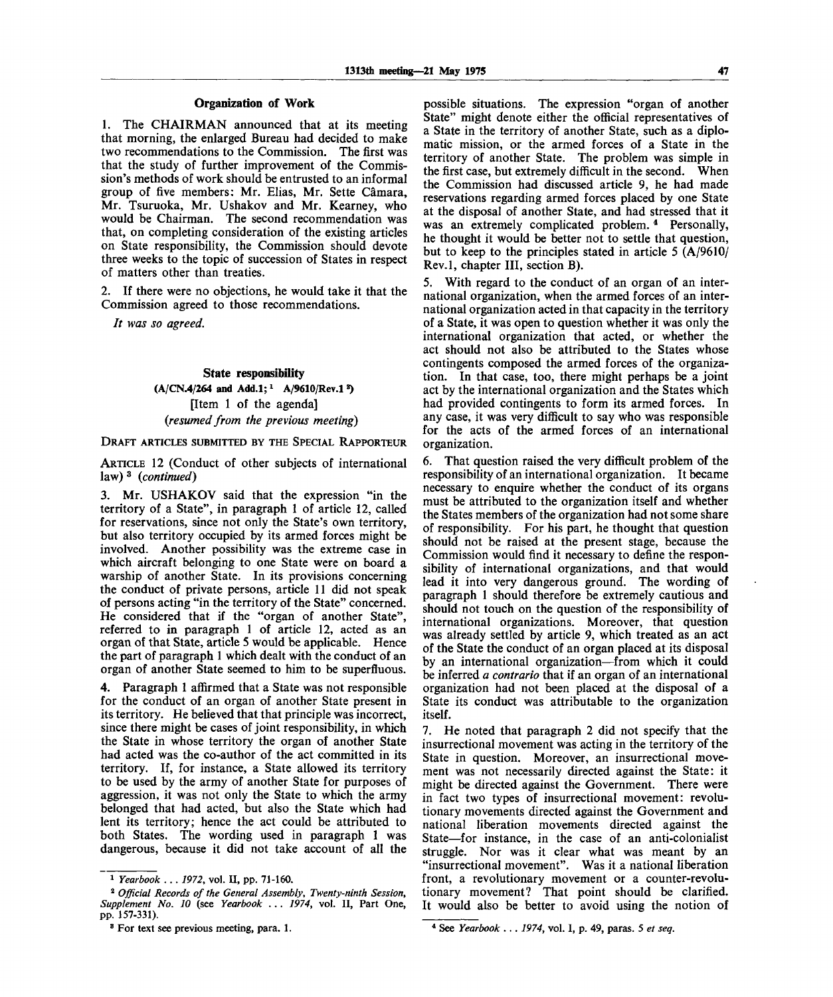### **Organization of Work**

1. The CHAIRMAN announced that at its meeting that morning, the enlarged Bureau had decided to make two recommendations to the Commission. The first was that the study of further improvement of the Commission's methods of work should be entrusted to an informal group of five members: Mr. Elias, Mr. Sette Camara, Mr. Tsuruoka, Mr. Ushakov and Mr. Kearney, who would be Chairman. The second recommendation was that, on completing consideration of the existing articles on State responsibility, the Commission should devote three weeks to the topic of succession of States in respect of matters other than treaties.

2. If there were no objections, he would take it that the Commission agreed to those recommendations.

*It was so agreed.*

## **State responsibility**

**(A/CN.4/264 and Add.l;<sup>x</sup> A/9610/Rev.l<sup>2</sup> )** [Item 1 of the agenda] *(resumed from the previous meeting)*

DRAFT ARTICLES SUBMITTED BY THE SPECIAL RAPPORTEUR

ARTICLE 12 (Conduct of other subjects of international law) <sup>3</sup> *(continued)*

3. Mr. USHAKOV said that the expression "in the territory of a State", in paragraph 1 of article 12, called for reservations, since not only the State's own territory, but also territory occupied by its armed forces might be involved. Another possibility was the extreme case in which aircraft belonging to one State were on board a warship of another State. In its provisions concerning the conduct of private persons, article 11 did not speak of persons acting "in the territory of the State" concerned. He considered that if the "organ of another State", referred to in paragraph 1 of article 12, acted as an organ of that State, article 5 would be applicable. Hence the part of paragraph 1 which dealt with the conduct of an organ of another State seemed to him to be superfluous.

4. Paragraph 1 affirmed that a State was not responsible for the conduct of an organ of another State present in its territory. He believed that that principle was incorrect, since there might be cases of joint responsibility, in which the State in whose territory the organ of another State had acted was the co-author of the act committed in its territory. If, for instance, a State allowed its territory to be used by the army of another State for purposes of aggression, it was not only the State to which the army belonged that had acted, but also the State which had lent its territory; hence the act could be attributed to both States. The wording used in paragraph 1 was dangerous, because it did not take account of all the

possible situations. The expression "organ of another State" might denote either the official representatives of a State in the territory of another State, such as a diplomatic mission, or the armed forces of a State in the territory of another State. The problem was simple in the first case, but extremely difficult in the second. When the Commission had discussed article 9, he had made reservations regarding armed forces placed by one State at the disposal of another State, and had stressed that it was an extremely complicated problem.<sup>4</sup> Personally, he thought it would be better not to settle that question, but to keep to the principles stated in article 5 (A/9610/ Rev.l, chapter III, section B).

5. With regard to the conduct of an organ of an international organization, when the armed forces of an international organization acted in that capacity in the territory of a State, it was open to question whether it was only the international organization that acted, or whether the act should not also be attributed to the States whose contingents composed the armed forces of the organization. In that case, too, there might perhaps be a joint act by the international organization and the States which had provided contingents to form its armed forces. In any case, it was very difficult to say who was responsible for the acts of the armed forces of an international organization.

6. That question raised the very difficult problem of the responsibility of an international organization. It became necessary to enquire whether the conduct of its organs must be attributed to the organization itself and whether the States members of the organization had not some share of responsibility. For his part, he thought that question should not be raised at the present stage, because the Commission would find it necessary to define the responsibility of international organizations, and that would lead it into very dangerous ground. The wording of paragraph 1 should therefore be extremely cautious and should not touch on the question of the responsibility of international organizations. Moreover, that question was already settled by article 9, which treated as an act of the State the conduct of an organ placed at its disposal by an international organization—from which it could be inferred *a contrario* that if an organ of an international organization had not been placed at the disposal of a State its conduct was attributable to the organization itself.

7. He noted that paragraph 2 did not specify that the insurrectional movement was acting in the territory of the State in question. Moreover, an insurrectional movement was not necessarily directed against the State: it might be directed against the Government. There were in fact two types of insurrectional movement: revolutionary movements directed against the Government and national liberation movements directed against the State—for instance, in the case of an anti-colonialist struggle. Nor was it clear what was meant by an "insurrectional movement". Was it a national liberation front, a revolutionary movement or a counter-revolutionary movement? That point should be clarified. It would also be better to avoid using the notion of

**<sup>1</sup>**  *Yearbook . . . 1972,* **vol. II, pp. 71-160.**

<sup>2</sup>  *Official Records of the General Assembly, Twenty-ninth Session, Supplement No. 10* **(see** *Yearbook .. . 1974,* **vol. II, Part One, pp. 157-331).**

**<sup>8</sup> For text see previous meeting, para. 1.**

**<sup>4</sup> See** *Yearbook .***..** *1974,* **vol. I, p. 49, paras. 5** *et seq.*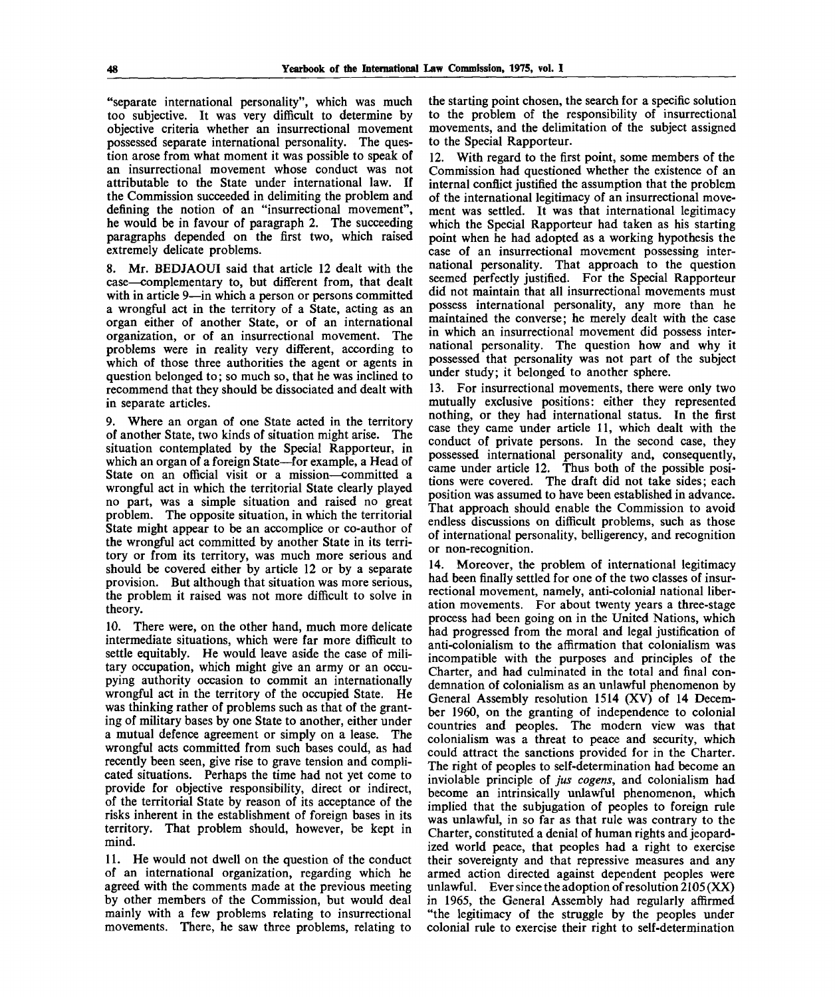"separate international personality", which was much too subjective. It was very difficult to determine by objective criteria whether an insurrectional movement possessed separate international personality. The question arose from what moment it was possible to speak of an insurrectional movement whose conduct was not attributable to the State under international law. If the Commission succeeded in delimiting the problem and defining the notion of an "insurrectional movement", he would be in favour of paragraph 2. The succeeding paragraphs depended on the first two, which raised extremely delicate problems.

8. Mr. BEDJAOUI said that article 12 dealt with the case—complementary to, but different from, that dealt with in article 9—in which a person or persons committed a wrongful act in the territory of a State, acting as an organ either of another State, or of an international organization, or of an insurrectional movement. The problems were in reality very different, according to which of those three authorities the agent or agents in question belonged to; so much so, that he was inclined to recommend that they should be dissociated and dealt with in separate articles.

9. Where an organ of one State acted in the territory of another State, two kinds of situation might arise. The situation contemplated by the Special Rapporteur, in which an organ of a foreign State—for example, a Head of State on an official visit or a mission—committed a wrongful act in which the territorial State clearly played no part, was a simple situation and raised no great problem. The opposite situation, in which the territorial State might appear to be an accomplice or co-author of the wrongful act committed by another State in its territory or from its territory, was much more serious and should be covered either by article 12 or by a separate provision. But although that situation was more serious, the problem it raised was not more difficult to solve in theory.

10. There were, on the other hand, much more delicate intermediate situations, which were far more difficult to settle equitably. He would leave aside the case of military occupation, which might give an army or an occupying authority occasion to commit an internationally wrongful act in the territory of the occupied State. He was thinking rather of problems such as that of the granting of military bases by one State to another, either under a mutual defence agreement or simply on a lease. The wrongful acts committed from such bases could, as had recently been seen, give rise to grave tension and complicated situations. Perhaps the time had not yet come to provide for objective responsibility, direct or indirect, of the territorial State by reason of its acceptance of the risks inherent in the establishment of foreign bases in its territory. That problem should, however, be kept in mind.

11. He would not dwell on the question of the conduct of an international organization, regarding which he agreed with the comments made at the previous meeting by other members of the Commission, but would deal mainly with a few problems relating to insurrectional movements. There, he saw three problems, relating to

the starting point chosen, the search for a specific solution to the problem of the responsibility of insurrectional movements, and the delimitation of the subject assigned to the Special Rapporteur.

12. With regard to the first point, some members of the Commission had questioned whether the existence of an internal conflict justified the assumption that the problem of the international legitimacy of an insurrectional movement was settled. It was that international legitimacy which the Special Rapporteur had taken as his starting point when he had adopted as a working hypothesis the case of an insurrectional movement possessing international personality. That approach to the question seemed perfectly justified. For the Special Rapporteur did not maintain that all insurrectional movements must possess international personality, any more than he maintained the converse; he merely dealt with the case in which an insurrectional movement did possess international personality. The question how and why it possessed that personality was not part of the subject under study; it belonged to another sphere.

13. For insurrectional movements, there were only two mutually exclusive positions: either they represented nothing, or they had international status. In the first case they came under article 11, which dealt with the conduct of private persons. In the second case, they possessed international personality and, consequently, came under article 12. Thus both of the possible positions were covered. The draft did not take sides; each position was assumed to have been established in advance. That approach should enable the Commission to avoid endless discussions on difficult problems, such as those of international personality, belligerency, and recognition or non-recognition.

14. Moreover, the problem of international legitimacy had been finally settled for one of the two classes of insurrectional movement, namely, anti-colonial national liberation movements. For about twenty years a three-stage process had been going on in the United Nations, which had progressed from the moral and legal justification of anti-colonialism to the affirmation that colonialism was incompatible with the purposes and principles of the Charter, and had culminated in the total and final condemnation of colonialism as an unlawful phenomenon by General Assembly resolution 1514 (XV) of 14 December 1960, on the granting of independence to colonial countries and peoples. The modern view was that colonialism was a threat to peace and security, which could attract the sanctions provided for in the Charter. The right of peoples to self-determination had become an inviolable principle of *jus cogens,* and colonialism had become an intrinsically unlawful phenomenon, which implied that the subjugation of peoples to foreign rule was unlawful, in so far as that rule was contrary to the Charter, constituted a denial of human rights and jeopardized world peace, that peoples had a right to exercise their sovereignty and that repressive measures and any armed action directed against dependent peoples were unlawful. Ever since the adoption of resolution 2105 (XX) in 1965, the General Assembly had regularly affirmed "the legitimacy of the struggle by the peoples under colonial rule to exercise their right to self-determination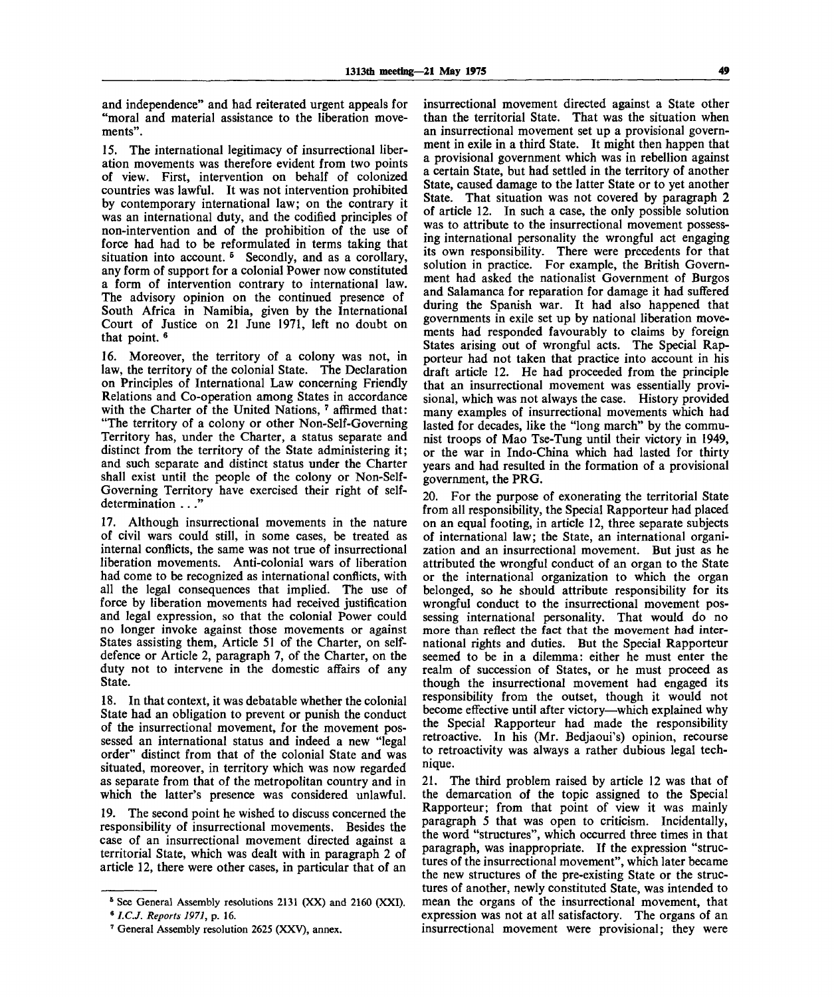and independence" and had reiterated urgent appeals for "moral and material assistance to the liberation movements".

15. The international legitimacy of insurrectional liberation movements was therefore evident from two points of view. First, intervention on behalf of colonized countries was lawful. It was not intervention prohibited by contemporary international law; on the contrary it was an international duty, and the codified principles of non-intervention and of the prohibition of the use of force had had to be reformulated in terms taking that situation into account.<sup>5</sup> Secondly, and as a corollary, any form of support for a colonial Power now constituted a form of intervention contrary to international law. The advisory opinion on the continued presence of South Africa in Namibia, given by the International Court of Justice on 21 June 1971, left no doubt on that point.<sup>6</sup>

16. Moreover, the territory of a colony was not, in law, the territory of the colonial State. The Declaration on Principles of International Law concerning Friendly Relations and Co-operation among States in accordance with the Charter of the United Nations, 7 affirmed that: "The territory of a colony or other Non-Self-Governing Territory has, under the Charter, a status separate and distinct from the territory of the State administering it; and such separate and distinct status under the Charter shall exist until the people of the colony or Non-Self-Governing Territory have exercised their right of selfdetermination ..."

17. Although insurrectional movements in the nature of civil wars could still, in some cases, be treated as internal conflicts, the same was not true of insurrectional liberation movements. Anti-colonial wars of liberation had come to be recognized as international conflicts, with all the legal consequences that implied. The use of force by liberation movements had received justification and legal expression, so that the colonial Power could no longer invoke against those movements or against States assisting them, Article 51 of the Charter, on selfdefence or Article 2, paragraph 7, of the Charter, on the duty not to intervene in the domestic affairs of any State.

18. In that context, it was debatable whether the colonial State had an obligation to prevent or punish the conduct of the insurrectional movement, for the movement possessed an international status and indeed a new "legal order" distinct from that of the colonial State and was situated, moreover, in territory which was now regarded as separate from that of the metropolitan country and in which the latter's presence was considered unlawful.

19. The second point he wished to discuss concerned the responsibility of insurrectional movements. Besides the case of an insurrectional movement directed against a territorial State, which was dealt with in paragraph 2 of article 12, there were other cases, in particular that of an insurrectional movement directed against a State other than the territorial State. That was the situation when an insurrectional movement set up a provisional government in exile in a third State. It might then happen that a provisional government which was in rebellion against a certain State, but had settled in the territory of another State, caused damage to the latter State or to yet another State. That situation was not covered by paragraph 2 of article 12. In such a case, the only possible solution was to attribute to the insurrectional movement possessing international personality the wrongful act engaging its own responsibility. There were precedents for that solution in practice. For example, the British Government had asked the nationalist Government of Burgos and Salamanca for reparation for damage it had suffered during the Spanish war. It had also happened that governments in exile set up by national liberation movements had responded favourably to claims by foreign States arising out of wrongful acts. The Special Rapporteur had not taken that practice into account in his draft article 12. He had proceeded from the principle that an insurrectional movement was essentially provisional, which was not always the case. History provided many examples of insurrectional movements which had lasted for decades, like the "long march" by the communist troops of Mao Tse-Tung until their victory in 1949, or the war in Indo-China which had lasted for thirty years and had resulted in the formation of a provisional government, the PRG.

20. For the purpose of exonerating the territorial State from all responsibility, the Special Rapporteur had placed on an equal footing, in article 12, three separate subjects of international law; the State, an international organization and an insurrectional movement. But just as he attributed the wrongful conduct of an organ to the State or the international organization to which the organ belonged, so he should attribute responsibility for its wrongful conduct to the insurrectional movement possessing international personality. That would do no more than reflect the fact that the movement had international rights and duties. But the Special Rapporteur seemed to be in a dilemma: either he must enter the realm of succession of States, or he must proceed as though the insurrectional movement had engaged its responsibility from the outset, though it would not become effective until after victory—which explained why the Special Rapporteur had made the responsibility retroactive. In his (Mr. Bedjaoui's) opinion, recourse to retroactivity was always a rather dubious legal technique.

21. The third problem raised by article 12 was that of the demarcation of the topic assigned to the Special Rapporteur; from that point of view it was mainly paragraph 5 that was open to criticism. Incidentally, the word "structures", which occurred three times in that paragraph, was inappropriate. If the expression "structures of the insurrectional movement", which later became the new structures of the pre-existing State or the structures of another, newly constituted State, was intended to mean the organs of the insurrectional movement, that expression was not at all satisfactory. The organs of an insurrectional movement were provisional; they were

<sup>&</sup>lt;sup>5</sup> See General Assembly resolutions 2131 (XX) and 2160 (XXI).

<sup>6</sup>  *I.C.J. Reports 1971,* p. 16.

<sup>7</sup> General Assembly resolution 2625 (XXV), annex.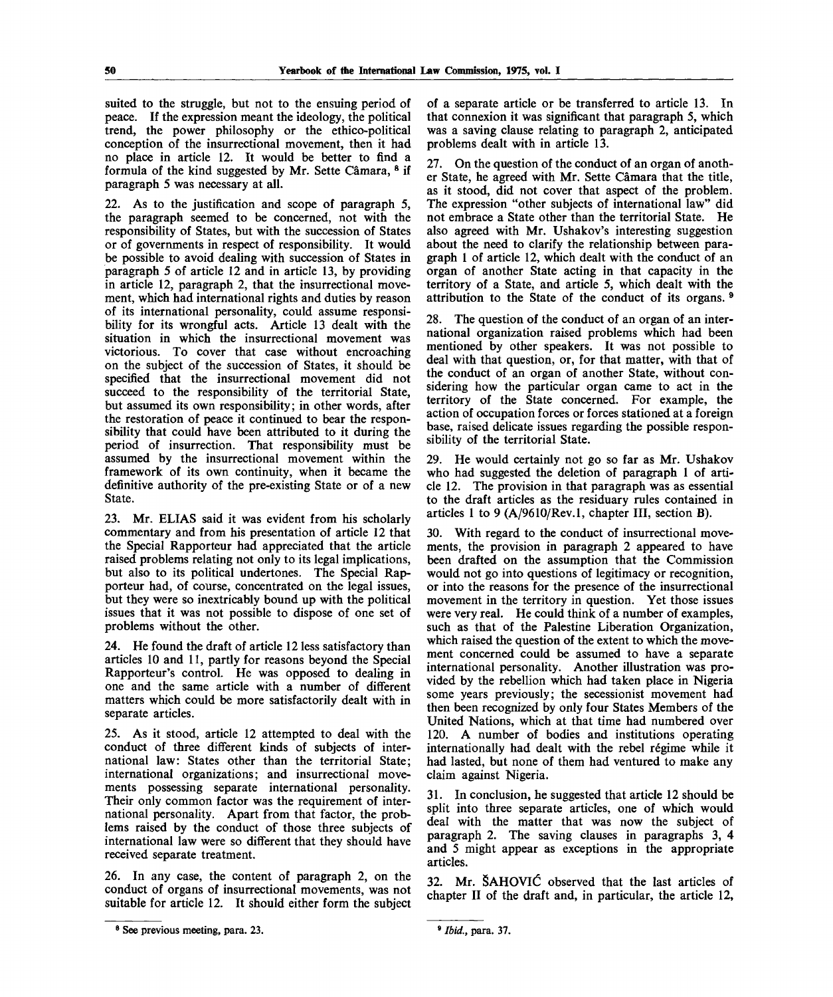suited to the struggle, but not to the ensuing period of peace. If the expression meant the ideology, the political trend, the power philosophy or the ethico-political conception of the insurrectional movement, then it had no place in article 12. It would be better to find a formula of the kind suggested by Mr. Sette Câmara, <sup>8</sup> if paragraph 5 was necessary at all.

22. As to the justification and scope of paragraph 5, the paragraph seemed to be concerned, not with the responsibility of States, but with the succession of States or of governments in respect of responsibility. It would be possible to avoid dealing with succession of States in paragraph 5 of article 12 and in article 13, by providing in article 12, paragraph 2, that the insurrectional movement, which had international rights and duties by reason of its international personality, could assume responsibility for its wrongful acts. Article 13 dealt with the situation in which the insurrectional movement was victorious. To cover that case without encroaching on the subject of the succession of States, it should be specified that the insurrectional movement did not succeed to the responsibility of the territorial State, but assumed its own responsibility; in other words, after the restoration of peace it continued to bear the responsibility that could have been attributed to it during the period of insurrection. That responsibility must be assumed by the insurrectional movement within the framework of its own continuity, when it became the definitive authority of the pre-existing State or of a new State.

23. Mr. ELIAS said it was evident from his scholarly commentary and from his presentation of article 12 that the Special Rapporteur had appreciated that the article raised problems relating not only to its legal implications, but also to its political undertones. The Special Rapporteur had, of course, concentrated on the legal issues, but they were so inextricably bound up with the political issues that it was not possible to dispose of one set of problems without the other.

24. He found the draft of article 12 less satisfactory than articles 10 and 11, partly for reasons beyond the Special Rapporteur's control. He was opposed to dealing in one and the same article with a number of different matters which could be more satisfactorily dealt with in separate articles.

25. As it stood, article 12 attempted to deal with the conduct of three different kinds of subjects of international law: States other than the territorial State; international organizations; and insurrectional movements possessing separate international personality. Their only common factor was the requirement of international personality. Apart from that factor, the problems raised by the conduct of those three subjects of international law were so different that they should have received separate treatment.

26. In any case, the content of paragraph 2, on the conduct of organs of insurrectional movements, was not suitable for article 12. It should either form the subject

of a separate article or be transferred to article 13. In that connexion it was significant that paragraph 5, which was a saving clause relating to paragraph 2, anticipated problems dealt with in article 13.

27. On the question of the conduct of an organ of another State, he agreed with Mr. Sette Camara that the title, as it stood, did not cover that aspect of the problem. The expression "other subjects of international law" did not embrace a State other than the territorial State. He also agreed with Mr. Ushakov's interesting suggestion about the need to clarify the relationship between paragraph 1 of article 12, which dealt with the conduct of an organ of another State acting in that capacity in the territory of a State, and article 5, which dealt with the attribution to the State of the conduct of its organs.<sup>8</sup>

28. The question of the conduct of an organ of an international organization raised problems which had been mentioned by other speakers. It was not possible to deal with that question, or, for that matter, with that of the conduct of an organ of another State, without considering how the particular organ came to act in the territory of the State concerned. For example, the action of occupation forces or forces stationed at a foreign base, raised delicate issues regarding the possible responsibility of the territorial State.

29. He would certainly not go so far as Mr. Ushakov who had suggested the deletion of paragraph 1 of article 12. The provision in that paragraph was as essential to the draft articles as the residuary rules contained in articles 1 to 9 (A/9610/Rev.l, chapter III, section B).

30. With regard to the conduct of insurrectional movements, the provision in paragraph 2 appeared to have been drafted on the assumption that the Commission would not go into questions of legitimacy or recognition, or into the reasons for the presence of the insurrectional movement in the territory in question. Yet those issues were very real. He could think of a number of examples, such as that of the Palestine Liberation Organization, which raised the question of the extent to which the movement concerned could be assumed to have a separate international personality. Another illustration was provided by the rebellion which had taken place in Nigeria some years previously; the secessionist movement had then been recognized by only four States Members of the United Nations, which at that time had numbered over 120. A number of bodies and institutions operating internationally had dealt with the rebel régime while it had lasted, but none of them had ventured to make any claim against Nigeria.

31. In conclusion, he suggested that article 12 should be split into three separate articles, one of which would deal with the matter that was now the subject of paragraph 2. The saving clauses in paragraphs 3, 4 and 5 might appear as exceptions in the appropriate articles.

32. Mr. SAHOVlC observed that the last articles of chapter II of the draft and, in particular, the article 12,

<sup>&</sup>lt;sup>8</sup> See previous meeting, para. 23.

<sup>9</sup>  *Ibid.,* para. 37.